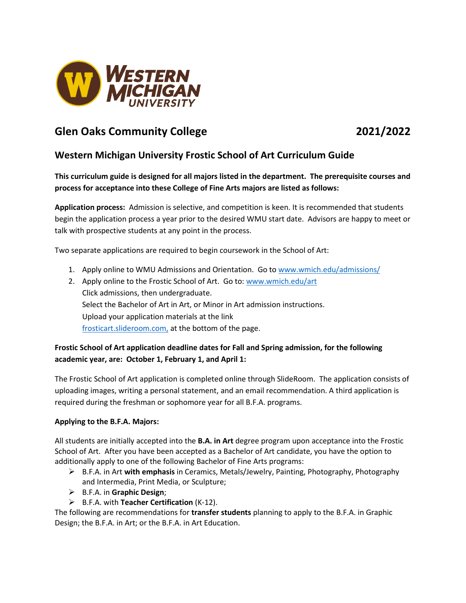

# **Glen Oaks Community College 2021/2022**

# **Western Michigan University Frostic School of Art Curriculum Guide**

**This curriculum guide is designed for all majors listed in the department. The prerequisite courses and process for acceptance into these College of Fine Arts majors are listed as follows:** 

**Application process:** Admission is selective, and competition is keen. It is recommended that students begin the application process a year prior to the desired WMU start date. Advisors are happy to meet or talk with prospective students at any point in the process.

Two separate applications are required to begin coursework in the School of Art:

- 1. Apply online to WMU Admissions and Orientation. Go to [www.wmich.edu/admissions/](http://www.wmich.edu/admissions/)
- 2. Apply online to the Frostic School of Art. Go to[: www.wmich.edu/art](http://www.wmich.edu/art) Click admissions, then undergraduate. Select the Bachelor of Art in Art, or Minor in Art admission instructions. Upload your application materials at the link [frosticart.slideroom.com,](https://frosticart.slideroom.com/) at the bottom of the page.

# **Frostic School of Art application deadline dates for Fall and Spring admission, for the following academic year, are: October 1, February 1, and April 1:**

The Frostic School of Art application is completed online through SlideRoom. The application consists of uploading images, writing a personal statement, and an email recommendation. A third application is required during the freshman or sophomore year for all B.F.A. programs.

## **Applying to the B.F.A. Majors:**

All students are initially accepted into the **B.A. in Art** degree program upon acceptance into the Frostic School of Art. After you have been accepted as a Bachelor of Art candidate, you have the option to additionally apply to one of the following Bachelor of Fine Arts programs:

- B.F.A. in Art **with emphasis** in Ceramics, Metals/Jewelry, Painting, Photography, Photography and Intermedia, Print Media, or Sculpture;
- B.F.A. in **Graphic Design**;
- B.F.A. with **Teacher Certification** (K-12).

The following are recommendations for **transfer students** planning to apply to the B.F.A. in Graphic Design; the B.F.A. in Art; or the B.F.A. in Art Education.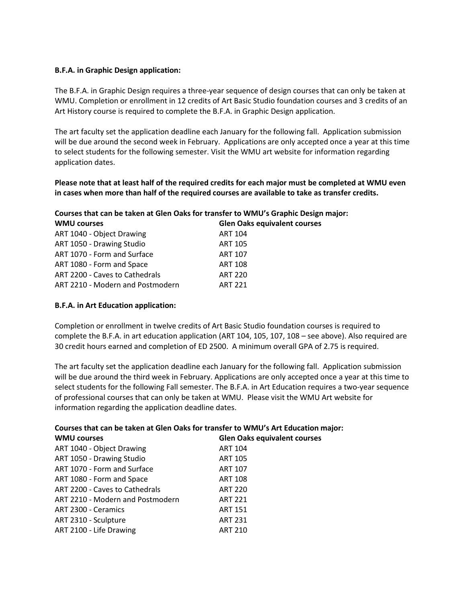### **B.F.A. in Graphic Design application:**

The B.F.A. in Graphic Design requires a three-year sequence of design courses that can only be taken at WMU. Completion or enrollment in 12 credits of Art Basic Studio foundation courses and 3 credits of an Art History course is required to complete the B.F.A. in Graphic Design application.

The art faculty set the application deadline each January for the following fall. Application submission will be due around the second week in February. Applications are only accepted once a year at this time to select students for the following semester. Visit the WMU art website for information regarding application dates.

**Please note that at least half of the required credits for each major must be completed at WMU even in cases when more than half of the required courses are available to take as transfer credits.**

|  |  | Courses that can be taken at Glen Oaks for transfer to WMU's Graphic Design major: |
|--|--|------------------------------------------------------------------------------------|
|--|--|------------------------------------------------------------------------------------|

| <b>WMU courses</b>               | <b>Glen Oaks equivalent courses</b> |
|----------------------------------|-------------------------------------|
| ART 1040 - Object Drawing        | <b>ART 104</b>                      |
| ART 1050 - Drawing Studio        | <b>ART 105</b>                      |
| ART 1070 - Form and Surface      | <b>ART 107</b>                      |
| ART 1080 - Form and Space        | <b>ART 108</b>                      |
| ART 2200 - Caves to Cathedrals   | <b>ART 220</b>                      |
| ART 2210 - Modern and Postmodern | <b>ART 221</b>                      |

#### **B.F.A. in Art Education application:**

Completion or enrollment in twelve credits of Art Basic Studio foundation courses is required to complete the B.F.A. in art education application (ART 104, 105, 107, 108 – see above). Also required are 30 credit hours earned and completion of ED 2500. A minimum overall GPA of 2.75 is required.

The art faculty set the application deadline each January for the following fall. Application submission will be due around the third week in February. Applications are only accepted once a year at this time to select students for the following Fall semester. The B.F.A. in Art Education requires a two-year sequence of professional courses that can only be taken at WMU. Please visit the WMU Art website for information regarding the application deadline dates.

| Courses that can be taken at Glen Oaks for transfer to WMU's Art Education major: |                                     |  |
|-----------------------------------------------------------------------------------|-------------------------------------|--|
| <b>WMU courses</b>                                                                | <b>Glen Oaks equivalent courses</b> |  |
| ART 1040 - Object Drawing                                                         | <b>ART 104</b>                      |  |
| ART 1050 - Drawing Studio                                                         | <b>ART 105</b>                      |  |
| ART 1070 - Form and Surface                                                       | <b>ART 107</b>                      |  |
| ART 1080 - Form and Space                                                         | <b>ART 108</b>                      |  |
| ART 2200 - Caves to Cathedrals                                                    | <b>ART 220</b>                      |  |
| ART 2210 - Modern and Postmodern                                                  | <b>ART 221</b>                      |  |
| ART 2300 - Ceramics                                                               | <b>ART 151</b>                      |  |
| ART 2310 - Sculpture                                                              | <b>ART 231</b>                      |  |
| ART 2100 - Life Drawing                                                           | <b>ART 210</b>                      |  |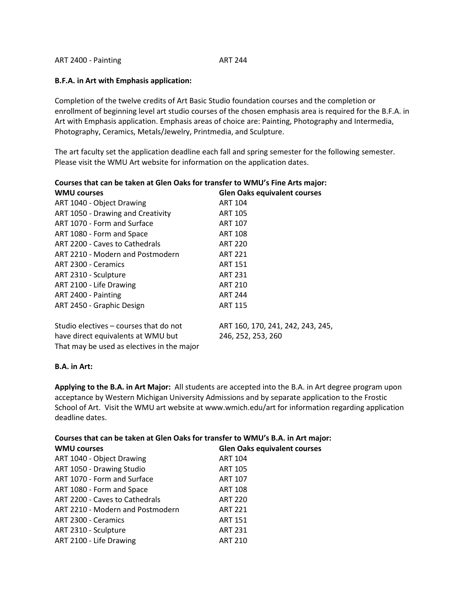ART 2400 - Painting ART 244

#### **B.F.A. in Art with Emphasis application:**

Completion of the twelve credits of Art Basic Studio foundation courses and the completion or enrollment of beginning level art studio courses of the chosen emphasis area is required for the B.F.A. in Art with Emphasis application. Emphasis areas of choice are: Painting, Photography and Intermedia, Photography, Ceramics, Metals/Jewelry, Printmedia, and Sculpture.

The art faculty set the application deadline each fall and spring semester for the following semester. Please visit the WMU Art website for information on the application dates.

| Courses that can be taken at Glen Oaks for transfer to WMU's Fine Arts major: |                                     |
|-------------------------------------------------------------------------------|-------------------------------------|
| <b>WMU courses</b>                                                            | <b>Glen Oaks equivalent courses</b> |
| ART 1040 - Object Drawing                                                     | <b>ART 104</b>                      |
| ART 1050 - Drawing and Creativity                                             | <b>ART 105</b>                      |
| ART 1070 - Form and Surface                                                   | <b>ART 107</b>                      |
| ART 1080 - Form and Space                                                     | <b>ART 108</b>                      |
| ART 2200 - Caves to Cathedrals                                                | <b>ART 220</b>                      |
| ART 2210 - Modern and Postmodern                                              | <b>ART 221</b>                      |
| ART 2300 - Ceramics                                                           | <b>ART 151</b>                      |
| ART 2310 - Sculpture                                                          | <b>ART 231</b>                      |
| ART 2100 - Life Drawing                                                       | <b>ART 210</b>                      |
| ART 2400 - Painting                                                           | <b>ART 244</b>                      |
| ART 2450 - Graphic Design                                                     | <b>ART 115</b>                      |
| Studio electives – courses that do not                                        | ART 160, 170, 241, 242, 243, 245,   |
| have direct equivalents at WMU but                                            | 246, 252, 253, 260                  |

That may be used as electives in the major

#### **B.A. in Art:**

**Applying to the B.A. in Art Major:** All students are accepted into the B.A. in Art degree program upon acceptance by Western Michigan University Admissions and by separate application to the Frostic School of Art. Visit the WMU art website at www.wmich.edu/art for information regarding application deadline dates.

#### **Courses that can be taken at Glen Oaks for transfer to WMU's B.A. in Art major:**

| <b>WMU courses</b>               | <b>Glen Oaks equivalent courses</b> |
|----------------------------------|-------------------------------------|
| ART 1040 - Object Drawing        | <b>ART 104</b>                      |
| ART 1050 - Drawing Studio        | <b>ART 105</b>                      |
| ART 1070 - Form and Surface      | <b>ART 107</b>                      |
| ART 1080 - Form and Space        | <b>ART 108</b>                      |
| ART 2200 - Caves to Cathedrals   | <b>ART 220</b>                      |
| ART 2210 - Modern and Postmodern | <b>ART 221</b>                      |
| ART 2300 - Ceramics              | <b>ART 151</b>                      |
| ART 2310 - Sculpture             | <b>ART 231</b>                      |
| ART 2100 - Life Drawing          | <b>ART 210</b>                      |